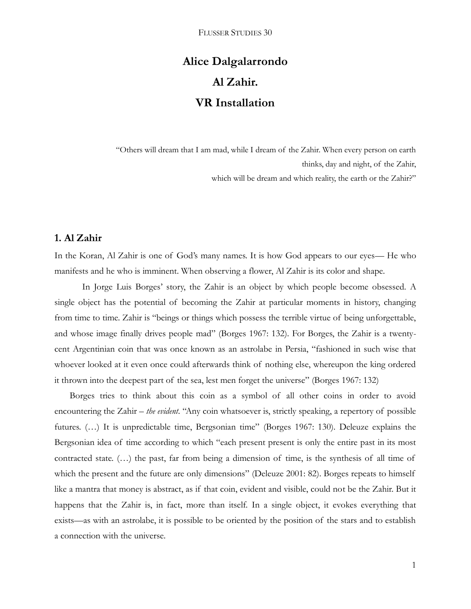# **Alice Dalgalarrondo Al Zahir. VR Installation**

"Others will dream that I am mad, while I dream of the Zahir. When every person on earth thinks, day and night, of the Zahir, which will be dream and which reality, the earth or the Zahir?"

# **1. Al Zahir**

In the Koran, Al Zahir is one of God's many names. It is how God appears to our eyes— He who manifests and he who is imminent. When observing a flower, Al Zahir is its color and shape.

In Jorge Luis Borges' story, the Zahir is an object by which people become obsessed. A single object has the potential of becoming the Zahir at particular moments in history, changing from time to time. Zahir is "beings or things which possess the terrible virtue of being unforgettable, and whose image finally drives people mad" (Borges 1967: 132). For Borges, the Zahir is a twentycent Argentinian coin that was once known as an astrolabe in Persia, "fashioned in such wise that whoever looked at it even once could afterwards think of nothing else, whereupon the king ordered it thrown into the deepest part of the sea, lest men forget the universe" (Borges 1967: 132)

Borges tries to think about this coin as a symbol of all other coins in order to avoid encountering the Zahir – *the evident*. "Any coin whatsoever is, strictly speaking, a repertory of possible futures. (...) It is unpredictable time, Bergsonian time" (Borges 1967: 130). Deleuze explains the Bergsonian idea of time according to which "each present present is only the entire past in its most contracted state. (…) the past, far from being a dimension of time, is the synthesis of all time of which the present and the future are only dimensions" (Deleuze 2001: 82). Borges repeats to himself like a mantra that money is abstract, as if that coin, evident and visible, could not be the Zahir. But it happens that the Zahir is, in fact, more than itself. In a single object, it evokes everything that exists—as with an astrolabe, it is possible to be oriented by the position of the stars and to establish a connection with the universe.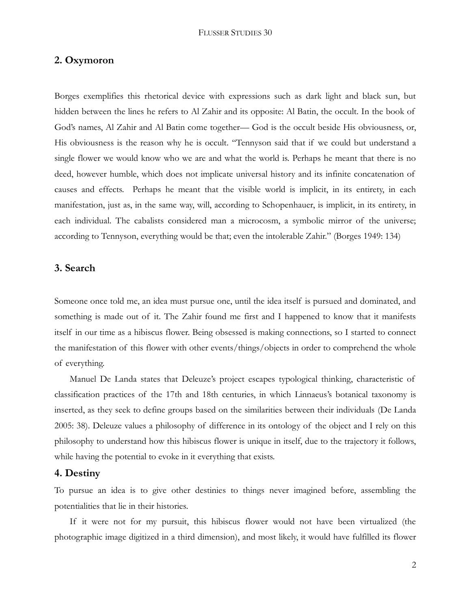#### **2. Oxymoron**

Borges exemplifies this rhetorical device with expressions such as dark light and black sun, but hidden between the lines he refers to Al Zahir and its opposite: Al Batin, the occult. In the book of God's names, Al Zahir and Al Batin come together— God is the occult beside His obviousness, or, His obviousness is the reason why he is occult. "Tennyson said that if we could but understand a single flower we would know who we are and what the world is. Perhaps he meant that there is no deed, however humble, which does not implicate universal history and its infinite concatenation of causes and effects. Perhaps he meant that the visible world is implicit, in its entirety, in each manifestation, just as, in the same way, will, according to Schopenhauer, is implicit, in its entirety, in each individual. The cabalists considered man a microcosm, a symbolic mirror of the universe; according to Tennyson, everything would be that; even the intolerable Zahir." (Borges 1949: 134)

## **3. Search**

Someone once told me, an idea must pursue one, until the idea itself is pursued and dominated, and something is made out of it. The Zahir found me first and I happened to know that it manifests itself in our time as a hibiscus flower. Being obsessed is making connections, so I started to connect the manifestation of this flower with other events/things/objects in order to comprehend the whole of everything.

Manuel De Landa states that Deleuze's project escapes typological thinking, characteristic of classification practices of the 17th and 18th centuries, in which Linnaeus's botanical taxonomy is inserted, as they seek to define groups based on the similarities between their individuals (De Landa 2005: 38). Deleuze values a philosophy of difference in its ontology of the object and I rely on this philosophy to understand how this hibiscus flower is unique in itself, due to the trajectory it follows, while having the potential to evoke in it everything that exists.

#### **4. Destiny**

To pursue an idea is to give other destinies to things never imagined before, assembling the potentialities that lie in their histories.

If it were not for my pursuit, this hibiscus flower would not have been virtualized (the photographic image digitized in a third dimension), and most likely, it would have fulfilled its flower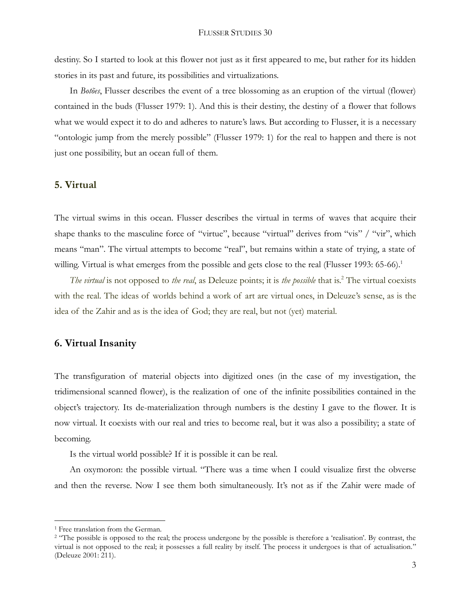destiny. So I started to look at this flower not just as it first appeared to me, but rather for its hidden stories in its past and future, its possibilities and virtualizations.

In *Botões*, Flusser describes the event of a tree blossoming as an eruption of the virtual (flower) contained in the buds (Flusser 1979: 1). And this is their destiny, the destiny of a flower that follows what we would expect it to do and adheres to nature's laws. But according to Flusser, it is a necessary "ontologic jump from the merely possible" (Flusser 1979: 1) for the real to happen and there is not just one possibility, but an ocean full of them.

#### **5. Virtual**

The virtual swims in this ocean. Flusser describes the virtual in terms of waves that acquire their shape thanks to the masculine force of "virtue", because "virtual" derives from "vis" / "vir", which means "man". The virtual attempts to become "real", but remains within a state of trying, a state of willing. Virtual is what emerges from the possible and gets close to the real (Flusser 1993: 65-66).<sup>1</sup>

*The virtual* is not opposed to *the real*, as Deleuze points; it is *the possible* that is.<sup>2</sup> The virtual coexists with the real. The ideas of worlds behind a work of art are virtual ones, in Deleuze's sense, as is the idea of the Zahir and as is the idea of God; they are real, but not (yet) material.

# **6. Virtual Insanity**

The transfiguration of material objects into digitized ones (in the case of my investigation, the tridimensional scanned flower), is the realization of one of the infinite possibilities contained in the object's trajectory. Its de-materialization through numbers is the destiny I gave to the flower. It is now virtual. It coexists with our real and tries to become real, but it was also a possibility; a state of becoming.

Is the virtual world possible? If it is possible it can be real.

An oxymoron: the possible virtual. "There was a time when I could visualize first the obverse and then the reverse. Now I see them both simultaneously. It's not as if the Zahir were made of

 $\overline{a}$ 

<sup>&</sup>lt;sup>1</sup> Free translation from the German.

<sup>&</sup>lt;sup>2</sup> "The possible is opposed to the real; the process undergone by the possible is therefore a 'realisation'. By contrast, the virtual is not opposed to the real; it possesses a full reality by itself. The process it undergoes is that of actualisation." (Deleuze 2001: 211).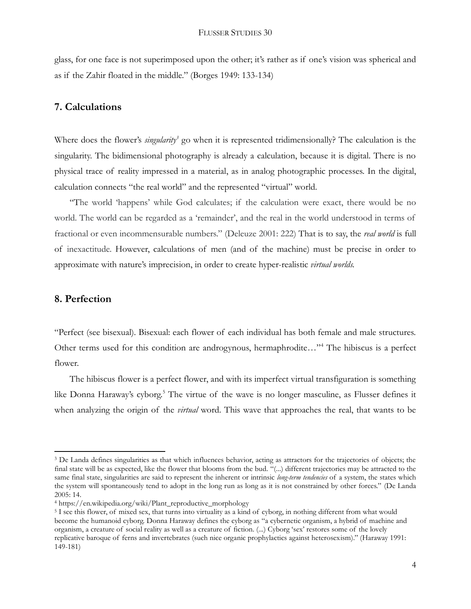glass, for one face is not superimposed upon the other; it's rather as if one's vision was spherical and as if the Zahir floated in the middle." (Borges 1949: 133-134)

# **7. Calculations**

Where does the flower's *singularity<sup>3</sup>* go when it is represented tridimensionally? The calculation is the singularity. The bidimensional photography is already a calculation, because it is digital. There is no physical trace of reality impressed in a material, as in analog photographic processes. In the digital, calculation connects "the real world" and the represented "virtual" world.

"The world 'happens' while God calculates; if the calculation were exact, there would be no world. The world can be regarded as a 'remainder', and the real in the world understood in terms of fractional or even incommensurable numbers." (Deleuze 2001: 222) That is to say, the *real world* is full of inexactitude. However, calculations of men (and of the machine) must be precise in order to approximate with nature's imprecision, in order to create hyper-realistic *virtual worlds.*

# **8. Perfection**

 $\overline{a}$ 

"Perfect (see bisexual). Bisexual: each flower of each individual has both female and male structures. Other terms used for this condition are androgynous, hermaphrodite..."<sup>4</sup> The hibiscus is a perfect flower.

The hibiscus flower is a perfect flower, and with its imperfect virtual transfiguration is something like Donna Haraway's cyborg.<sup>5</sup> The virtue of the wave is no longer masculine, as Flusser defines it when analyzing the origin of the *virtual* word. This wave that approaches the real, that wants to be

<sup>3</sup> De Landa defines singularities as that which influences behavior, acting as attractors for the trajectories of objects; the final state will be as expected, like the flower that blooms from the bud. "(...) different trajectories may be attracted to the same final state, singularities are said to represent the inherent or intrinsic *long-term tendencies* of a system, the states which the system will spontaneously tend to adopt in the long run as long as it is not constrained by other forces." (De Landa 2005: 14.

<sup>4</sup> https://en.wikipedia.org/wiki/Plant\_reproductive\_morphology

<sup>&</sup>lt;sup>5</sup> I see this flower, of mixed sex, that turns into virtuality as a kind of cyborg, in nothing different from what would become the humanoid cyborg. Donna Haraway defines the cyborg as "a cybernetic organism, a hybrid of machine and organism, a creature of social reality as well as a creature of fiction. (...) Cyborg 'sex' restores some of the lovely replicative baroque of ferns and invertebrates (such nice organic prophylactics against heterosexism)." (Haraway 1991: 149-181)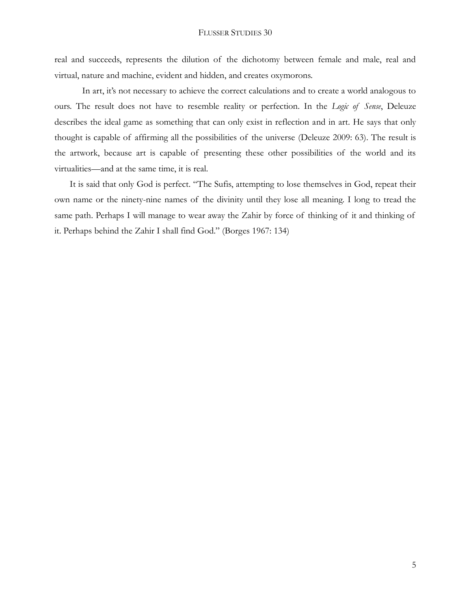real and succeeds, represents the dilution of the dichotomy between female and male, real and virtual, nature and machine, evident and hidden, and creates oxymorons.

In art, it's not necessary to achieve the correct calculations and to create a world analogous to ours. The result does not have to resemble reality or perfection. In the *Logic of Sense*, Deleuze describes the ideal game as something that can only exist in reflection and in art. He says that only thought is capable of affirming all the possibilities of the universe (Deleuze 2009: 63). The result is the artwork, because art is capable of presenting these other possibilities of the world and its virtualities—and at the same time, it is real.

It is said that only God is perfect. "The Sufis, attempting to lose themselves in God, repeat their own name or the ninety-nine names of the divinity until they lose all meaning. I long to tread the same path. Perhaps I will manage to wear away the Zahir by force of thinking of it and thinking of it. Perhaps behind the Zahir I shall find God." (Borges 1967: 134)